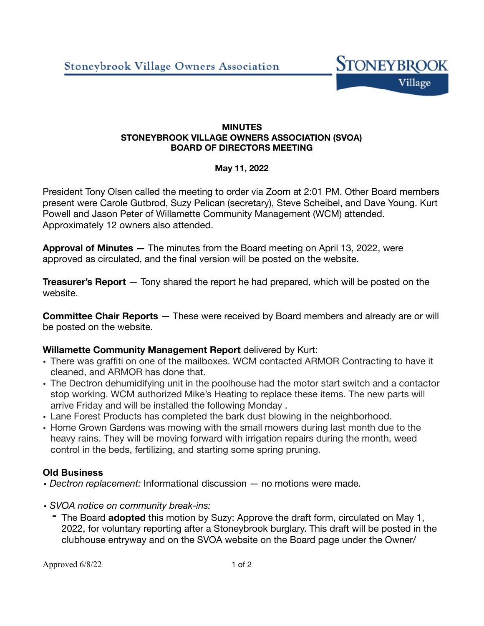

### **MINUTES STONEYBROOK VILLAGE OWNERS ASSOCIATION (SVOA) BOARD OF DIRECTORS MEETING**

### **May 11, 2022**

President Tony Olsen called the meeting to order via Zoom at 2:01 PM. Other Board members present were Carole Gutbrod, Suzy Pelican (secretary), Steve Scheibel, and Dave Young. Kurt Powell and Jason Peter of Willamette Community Management (WCM) attended. Approximately 12 owners also attended.

**Approval of Minutes —** The minutes from the Board meeting on April 13, 2022, were approved as circulated, and the final version will be posted on the website.

**Treasurer's Report** — Tony shared the report he had prepared, which will be posted on the website.

**Committee Chair Reports** — These were received by Board members and already are or will be posted on the website.

# **Willamette Community Management Report** delivered by Kurt:

- There was graffiti on one of the mailboxes. WCM contacted ARMOR Contracting to have it cleaned, and ARMOR has done that.
- The Dectron dehumidifying unit in the poolhouse had the motor start switch and a contactor stop working. WCM authorized Mike's Heating to replace these items. The new parts will arrive Friday and will be installed the following Monday .
- Lane Forest Products has completed the bark dust blowing in the neighborhood.
- Home Grown Gardens was mowing with the small mowers during last month due to the heavy rains. They will be moving forward with irrigation repairs during the month, weed control in the beds, fertilizing, and starting some spring pruning.

# **Old Business**

- *• Dectron replacement:* Informational discussion no motions were made.
- *• SVOA notice on community break-ins:*
	- *-* The Board **adopted** this motion by Suzy: Approve the draft form, circulated on May 1, 2022, for voluntary reporting after a Stoneybrook burglary. This draft will be posted in the clubhouse entryway and on the SVOA website on the Board page under the Owner/